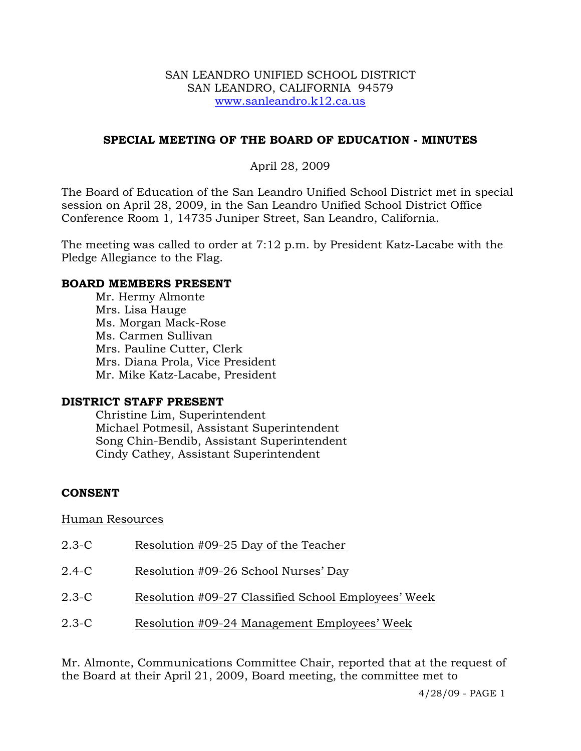#### SAN LEANDRO UNIFIED SCHOOL DISTRICT SAN LEANDRO, CALIFORNIA 94579 www.sanleandro.k12.ca.us

## **SPECIAL MEETING OF THE BOARD OF EDUCATION - MINUTES**

## April 28, 2009

The Board of Education of the San Leandro Unified School District met in special session on April 28, 2009, in the San Leandro Unified School District Office Conference Room 1, 14735 Juniper Street, San Leandro, California.

The meeting was called to order at 7:12 p.m. by President Katz-Lacabe with the Pledge Allegiance to the Flag.

#### **BOARD MEMBERS PRESENT**

Mr. Hermy Almonte Mrs. Lisa Hauge Ms. Morgan Mack-Rose Ms. Carmen Sullivan Mrs. Pauline Cutter, Clerk Mrs. Diana Prola, Vice President Mr. Mike Katz-Lacabe, President

### **DISTRICT STAFF PRESENT**

Christine Lim, Superintendent Michael Potmesil, Assistant Superintendent Song Chin-Bendib, Assistant Superintendent Cindy Cathey, Assistant Superintendent

### **CONSENT**

### Human Resources

| $2.3 - C$ | Resolution #09-25 Day of the Teacher                |
|-----------|-----------------------------------------------------|
| 2.4-C     | Resolution #09-26 School Nurses' Day                |
| $2.3 - C$ | Resolution #09-27 Classified School Employees' Week |
| 2.3-C     | Resolution #09-24 Management Employees' Week        |

Mr. Almonte, Communications Committee Chair, reported that at the request of the Board at their April 21, 2009, Board meeting, the committee met to

4/28/09 - PAGE 1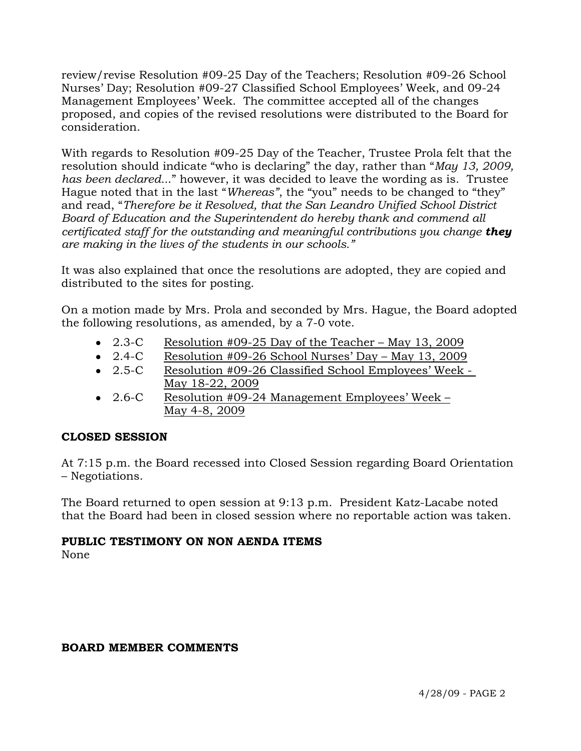review/revise Resolution #09-25 Day of the Teachers; Resolution #09-26 School Nurses' Day; Resolution #09-27 Classified School Employees' Week, and 09-24 Management Employees' Week. The committee accepted all of the changes proposed, and copies of the revised resolutions were distributed to the Board for consideration.

With regards to Resolution #09-25 Day of the Teacher, Trustee Prola felt that the resolution should indicate "who is declaring" the day, rather than "*May 13, 2009, has been declared..*." however, it was decided to leave the wording as is. Trustee Hague noted that in the last "*Whereas"*, the "you" needs to be changed to "they" and read, "*Therefore be it Resolved, that the San Leandro Unified School District Board of Education and the Superintendent do hereby thank and commend all certificated staff for the outstanding and meaningful contributions you change they are making in the lives of the students in our schools."* 

It was also explained that once the resolutions are adopted, they are copied and distributed to the sites for posting.

On a motion made by Mrs. Prola and seconded by Mrs. Hague, the Board adopted the following resolutions, as amended, by a 7-0 vote.

- 2.3-C Resolution #09-25 Day of the Teacher May 13, 2009
- 2.4-C Resolution #09-26 School Nurses' Day May 13, 2009
- 2.5-C Resolution #09-26 Classified School Employees' Week May 18-22, 2009
- 2.6-C Resolution #09-24 Management Employees' Week May 4-8, 2009

# **CLOSED SESSION**

At 7:15 p.m. the Board recessed into Closed Session regarding Board Orientation – Negotiations.

The Board returned to open session at 9:13 p.m. President Katz-Lacabe noted that the Board had been in closed session where no reportable action was taken.

# **PUBLIC TESTIMONY ON NON AENDA ITEMS**

None

### **BOARD MEMBER COMMENTS**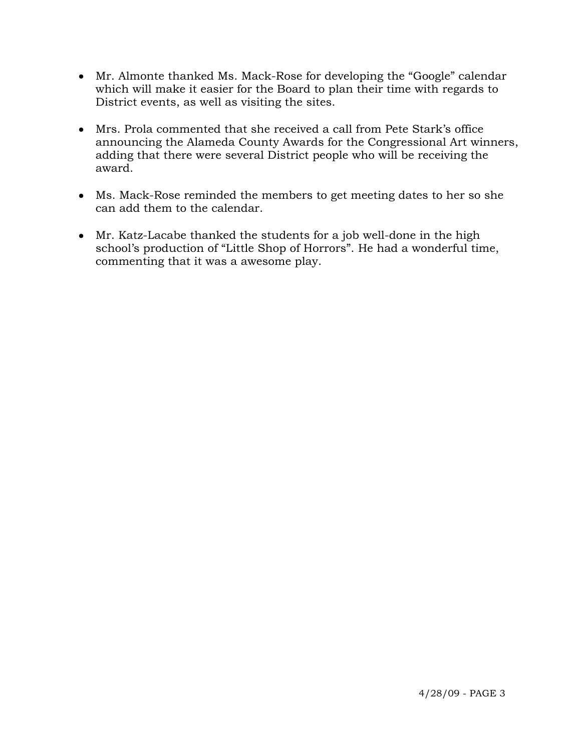- Mr. Almonte thanked Ms. Mack-Rose for developing the "Google" calendar which will make it easier for the Board to plan their time with regards to District events, as well as visiting the sites.
- Mrs. Prola commented that she received a call from Pete Stark's office announcing the Alameda County Awards for the Congressional Art winners, adding that there were several District people who will be receiving the award.
- Ms. Mack-Rose reminded the members to get meeting dates to her so she can add them to the calendar.
- Mr. Katz-Lacabe thanked the students for a job well-done in the high school's production of "Little Shop of Horrors". He had a wonderful time, commenting that it was a awesome play.